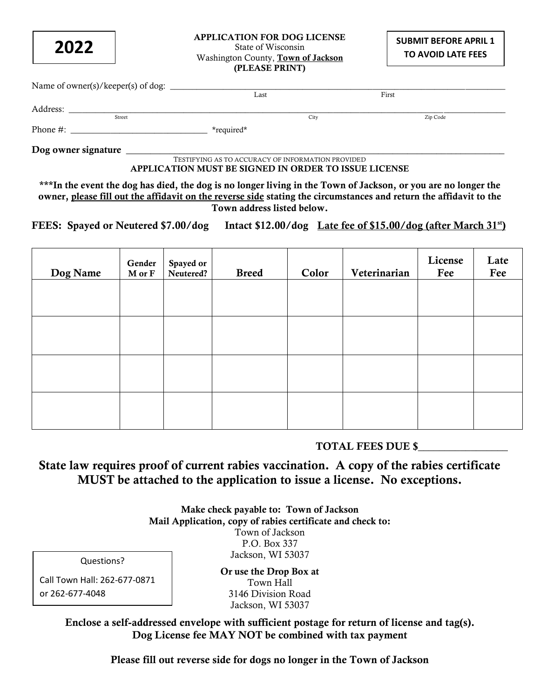**2022**

## APPLICATION FOR DOG LICENSE State of Wisconsin Washington County, Town of Jackson (PLEASE PRINT)

| Name of owner(s)/keeper(s) of dog: |            |      |          |  |
|------------------------------------|------------|------|----------|--|
|                                    | Last       |      | First    |  |
| Address:                           |            |      |          |  |
| Street                             |            | City | Zip Code |  |
| Phone $#$ :                        | *required* |      |          |  |
| Dog owner signature                |            |      |          |  |

TESTIFYING AS TO ACCURACY OF INFORMATION PROVIDED APPLICATION MUST BE SIGNED IN ORDER TO ISSUE LICENSE

\*\*\*In the event the dog has died, the dog is no longer living in the Town of Jackson, or you are no longer the owner, please fill out the affidavit on the reverse side stating the circumstances and return the affidavit to the Town address listed below.

FEES: Spayed or Neutered \$7.00/dog Intact \$12.00/dog Late fee of \$15.00/dog (after March 31<sup>st</sup>)

| Gender<br>M or F | Spayed or<br>Neutered? | <b>Breed</b> | Color | Veterinarian | License<br>Fee | Late<br>Fee |
|------------------|------------------------|--------------|-------|--------------|----------------|-------------|
|                  |                        |              |       |              |                |             |
|                  |                        |              |       |              |                |             |
|                  |                        |              |       |              |                |             |
|                  |                        |              |       |              |                |             |
|                  |                        |              |       |              |                |             |
|                  |                        |              |       |              |                |             |

# TOTAL FEES DUE \$\_\_\_\_\_\_\_\_\_\_\_\_\_\_\_\_\_

State law requires proof of current rabies vaccination. A copy of the rabies certificate MUST be attached to the application to issue a license. No exceptions.

> Make check payable to: Town of Jackson Mail Application, copy of rabies certificate and check to: Town of Jackson P.O. Box 337 Jackson, WI 53037

Questions?

Call Town Hall: 262-677-0871 or 262-677-4048

Or use the Drop Box at Town Hall 3146 Division Road Jackson, WI 53037

Enclose a self-addressed envelope with sufficient postage for return of license and tag(s). Dog License fee MAY NOT be combined with tax payment

Please fill out reverse side for dogs no longer in the Town of Jackson